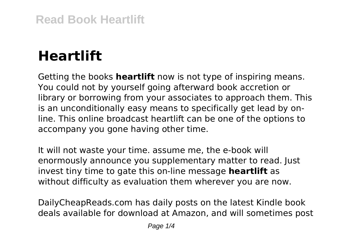## **Heartlift**

Getting the books **heartlift** now is not type of inspiring means. You could not by yourself going afterward book accretion or library or borrowing from your associates to approach them. This is an unconditionally easy means to specifically get lead by online. This online broadcast heartlift can be one of the options to accompany you gone having other time.

It will not waste your time. assume me, the e-book will enormously announce you supplementary matter to read. Just invest tiny time to gate this on-line message **heartlift** as without difficulty as evaluation them wherever you are now.

DailyCheapReads.com has daily posts on the latest Kindle book deals available for download at Amazon, and will sometimes post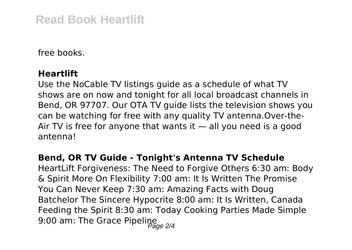## **Read Book Heartlift**

free books.

## **Heartlift**

Use the NoCable TV listings guide as a schedule of what TV shows are on now and tonight for all local broadcast channels in Bend, OR 97707. Our OTA TV guide lists the television shows you can be watching for free with any quality TV antenna.Over-the-Air TV is free for anyone that wants it  $-$  all you need is a good antenna!

## **Bend, OR TV Guide - Tonight's Antenna TV Schedule**

HeartLift Forgiveness: The Need to Forgive Others 6:30 am: Body & Spirit More On Flexibility 7:00 am: It Is Written The Promise You Can Never Keep 7:30 am: Amazing Facts with Doug Batchelor The Sincere Hypocrite 8:00 am: It Is Written, Canada Feeding the Spirit 8:30 am: Today Cooking Parties Made Simple 9:00 am: The Grace Pipeline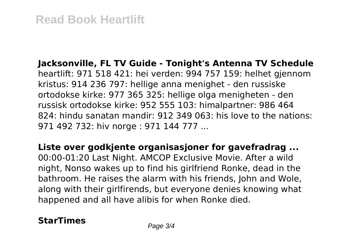**Jacksonville, FL TV Guide - Tonight's Antenna TV Schedule** heartlift: 971 518 421: hei verden: 994 757 159: helhet gjennom kristus: 914 236 797: hellige anna menighet - den russiske ortodokse kirke: 977 365 325: hellige olga menigheten - den russisk ortodokse kirke: 952 555 103: himalpartner: 986 464 824: hindu sanatan mandir: 912 349 063: his love to the nations: 971 492 732: hiv norge : 971 144 777 ...

**Liste over godkjente organisasjoner for gavefradrag ...** 00:00-01:20 Last Night. AMCOP Exclusive Movie. After a wild night, Nonso wakes up to find his girlfriend Ronke, dead in the bathroom. He raises the alarm with his friends, John and Wole, along with their girlfirends, but everyone denies knowing what

happened and all have alibis for when Ronke died.

**StarTimes** Page 3/4